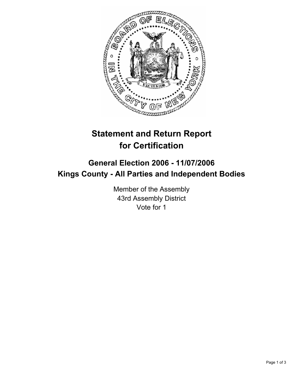

# **Statement and Return Report for Certification**

## **General Election 2006 - 11/07/2006 Kings County - All Parties and Independent Bodies**

Member of the Assembly 43rd Assembly District Vote for 1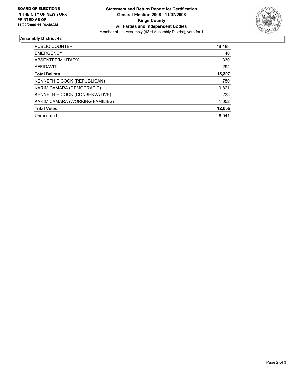

#### **Assembly District 43**

| <b>PUBLIC COUNTER</b>           | 18,188 |
|---------------------------------|--------|
| <b>EMERGENCY</b>                | 40     |
| ABSENTEE/MILITARY               | 330    |
| AFFIDAVIT                       | 294    |
| <b>Total Ballots</b>            | 18,897 |
| KENNETH E COOK (REPUBLICAN)     | 750    |
| KARIM CAMARA (DEMOCRATIC)       | 10,821 |
| KENNETH E COOK (CONSERVATIVE)   | 233    |
| KARIM CAMARA (WORKING FAMILIES) | 1,052  |
| <b>Total Votes</b>              | 12,856 |
| Unrecorded                      | 6.041  |